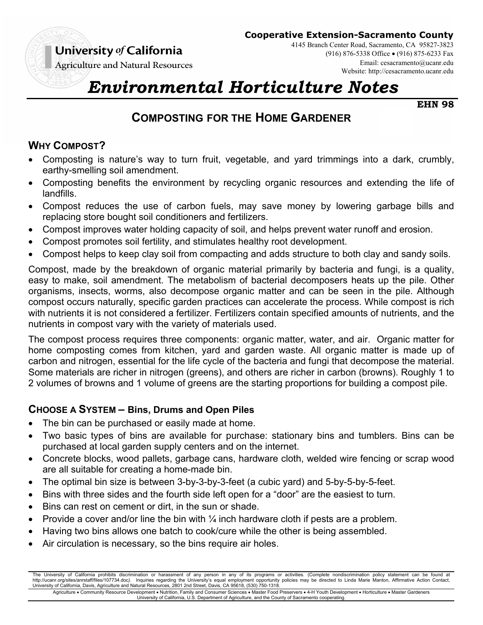

**Cooperative Extension-Sacramento County**

**Agriculture and Natural Resources** 

4145 Branch Center Road, Sacramento, CA 95827-3823 (916) 876-5338 Office (916) 875-6233 Fax Email: cesacramento@ucanr.edu Website: http://cesacramento.ucanr.edu

# *Environmental Horticulture Notes*

**EHN 98** 

# **COMPOSTING FOR THE HOME GARDENER**

## **WHY COMPOST?**

- Composting is nature's way to turn fruit, vegetable, and yard trimmings into a dark, crumbly, earthy-smelling soil amendment.
- Composting benefits the environment by recycling organic resources and extending the life of landfills.
- Compost reduces the use of carbon fuels, may save money by lowering garbage bills and replacing store bought soil conditioners and fertilizers.
- Compost improves water holding capacity of soil, and helps prevent water runoff and erosion.
- Compost promotes soil fertility, and stimulates healthy root development.
- Compost helps to keep clay soil from compacting and adds structure to both clay and sandy soils.

Compost, made by the breakdown of organic material primarily by bacteria and fungi, is a quality, easy to make, soil amendment. The metabolism of bacterial decomposers heats up the pile. Other organisms, insects, worms, also decompose organic matter and can be seen in the pile. Although compost occurs naturally, specific garden practices can accelerate the process. While compost is rich with nutrients it is not considered a fertilizer. Fertilizers contain specified amounts of nutrients, and the nutrients in compost vary with the variety of materials used.

The compost process requires three components: organic matter, water, and air. Organic matter for home composting comes from kitchen, yard and garden waste. All organic matter is made up of carbon and nitrogen, essential for the life cycle of the bacteria and fungi that decompose the material. Some materials are richer in nitrogen (greens), and others are richer in carbon (browns). Roughly 1 to 2 volumes of browns and 1 volume of greens are the starting proportions for building a compost pile.

## **CHOOSE A SYSTEM – Bins, Drums and Open Piles**

- The bin can be purchased or easily made at home.
- Two basic types of bins are available for purchase: stationary bins and tumblers. Bins can be purchased at local garden supply centers and on the internet.
- Concrete blocks, wood pallets, garbage cans, hardware cloth, welded wire fencing or scrap wood are all suitable for creating a home-made bin.
- The optimal bin size is between 3-by-3-by-3-feet (a cubic yard) and 5-by-5-by-5-feet.
- Bins with three sides and the fourth side left open for a "door" are the easiest to turn.
- Bins can rest on cement or dirt, in the sun or shade.
- Provide a cover and/or line the bin with  $\frac{1}{4}$  inch hardware cloth if pests are a problem.
- Having two bins allows one batch to cook/cure while the other is being assembled.
- Air circulation is necessary, so the bins require air holes.

The University of California prohibits discrimination or harassment of any person in any of its programs or activities. (Complete nondiscrimination policy statement can be found at http://ucanr.org/sites/anrstaff/files/107734.doc). Inquiries regarding the University's equal employment opportunity policies may be directed to Linda Marie Manton, Affirmative Action Contact,<br>University of California, Dav

Agriculture • Community Resource Development • Nutrition, Family and Consumer Sciences • Master Food Preservers • 4-H Youth Development • Horticulture • Master Gardeners<br>University of California, U.S. Department of Agricu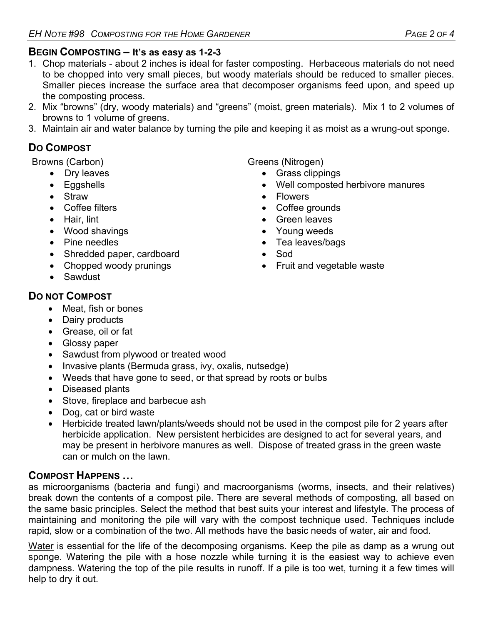## **BEGIN COMPOSTING – It's as easy as 1-2-3**

- 1. Chop materials about 2 inches is ideal for faster composting. Herbaceous materials do not need to be chopped into very small pieces, but woody materials should be reduced to smaller pieces. Smaller pieces increase the surface area that decomposer organisms feed upon, and speed up the composting process.
- 2. Mix "browns" (dry, woody materials) and "greens" (moist, green materials). Mix 1 to 2 volumes of browns to 1 volume of greens.
- 3. Maintain air and water balance by turning the pile and keeping it as moist as a wrung-out sponge.

## **DO COMPOST**

- Dry leaves
- Eggshells
- Straw
- Coffee filters
- Hair, lint
- Wood shavings
- Pine needles
- Shredded paper, cardboard
- Chopped woody prunings
- Sawdust

## **DO NOT COMPOST**

- Meat, fish or bones
- Dairy products
- Grease, oil or fat
- Glossy paper
- Sawdust from plywood or treated wood
- Invasive plants (Bermuda grass, ivy, oxalis, nutsedge)
- Weeds that have gone to seed, or that spread by roots or bulbs
- Diseased plants
- Stove, fireplace and barbecue ash
- Dog, cat or bird waste
- Herbicide treated lawn/plants/weeds should not be used in the compost pile for 2 years after herbicide application. New persistent herbicides are designed to act for several years, and may be present in herbivore manures as well. Dispose of treated grass in the green waste can or mulch on the lawn.

## **COMPOST HAPPENS …**

as microorganisms (bacteria and fungi) and macroorganisms (worms, insects, and their relatives) break down the contents of a compost pile. There are several methods of composting, all based on the same basic principles. Select the method that best suits your interest and lifestyle. The process of maintaining and monitoring the pile will vary with the compost technique used. Techniques include rapid, slow or a combination of the two. All methods have the basic needs of water, air and food.

Water is essential for the life of the decomposing organisms. Keep the pile as damp as a wrung out sponge. Watering the pile with a hose nozzle while turning it is the easiest way to achieve even dampness. Watering the top of the pile results in runoff. If a pile is too wet, turning it a few times will help to dry it out.

Browns (Carbon) Greens (Nitrogen)

- Grass clippings
- Well composted herbivore manures
- Flowers
- Coffee grounds
- Green leaves
- Young weeds
- Tea leaves/bags
- Sod
- Fruit and vegetable waste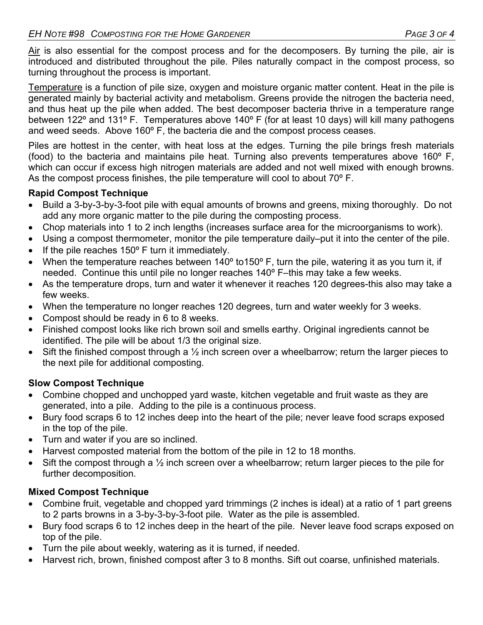Air is also essential for the compost process and for the decomposers. By turning the pile, air is introduced and distributed throughout the pile. Piles naturally compact in the compost process, so turning throughout the process is important.

Temperature is a function of pile size, oxygen and moisture organic matter content. Heat in the pile is generated mainly by bacterial activity and metabolism. Greens provide the nitrogen the bacteria need, and thus heat up the pile when added. The best decomposer bacteria thrive in a temperature range between 122° and 131° F. Temperatures above 140° F (for at least 10 days) will kill many pathogens and weed seeds. Above 160º F, the bacteria die and the compost process ceases.

Piles are hottest in the center, with heat loss at the edges. Turning the pile brings fresh materials (food) to the bacteria and maintains pile heat. Turning also prevents temperatures above 160º F, which can occur if excess high nitrogen materials are added and not well mixed with enough browns. As the compost process finishes, the pile temperature will cool to about 70º F.

#### **Rapid Compost Technique**

- Build a 3-by-3-by-3-foot pile with equal amounts of browns and greens, mixing thoroughly. Do not add any more organic matter to the pile during the composting process.
- Chop materials into 1 to 2 inch lengths (increases surface area for the microorganisms to work).
- Using a compost thermometer, monitor the pile temperature daily–put it into the center of the pile.
- $\bullet$  If the pile reaches 150 $\circ$  F turn it immediately.
- When the temperature reaches between 140° to150° F, turn the pile, watering it as you turn it, if needed. Continue this until pile no longer reaches 140º F–this may take a few weeks.
- As the temperature drops, turn and water it whenever it reaches 120 degrees-this also may take a few weeks.
- When the temperature no longer reaches 120 degrees, turn and water weekly for 3 weeks.
- Compost should be ready in 6 to 8 weeks.
- Finished compost looks like rich brown soil and smells earthy. Original ingredients cannot be identified. The pile will be about 1/3 the original size.
- Sift the finished compost through a  $\frac{1}{2}$  inch screen over a wheelbarrow; return the larger pieces to the next pile for additional composting.

#### **Slow Compost Technique**

- Combine chopped and unchopped yard waste, kitchen vegetable and fruit waste as they are generated, into a pile. Adding to the pile is a continuous process.
- Bury food scraps 6 to 12 inches deep into the heart of the pile; never leave food scraps exposed in the top of the pile.
- Turn and water if you are so inclined.
- Harvest composted material from the bottom of the pile in 12 to 18 months.
- $\bullet$  Sift the compost through a  $\frac{1}{2}$  inch screen over a wheelbarrow; return larger pieces to the pile for further decomposition.

#### **Mixed Compost Technique**

- Combine fruit, vegetable and chopped yard trimmings (2 inches is ideal) at a ratio of 1 part greens to 2 parts browns in a 3-by-3-by-3-foot pile. Water as the pile is assembled.
- Bury food scraps 6 to 12 inches deep in the heart of the pile. Never leave food scraps exposed on top of the pile.
- Turn the pile about weekly, watering as it is turned, if needed.
- Harvest rich, brown, finished compost after 3 to 8 months. Sift out coarse, unfinished materials.